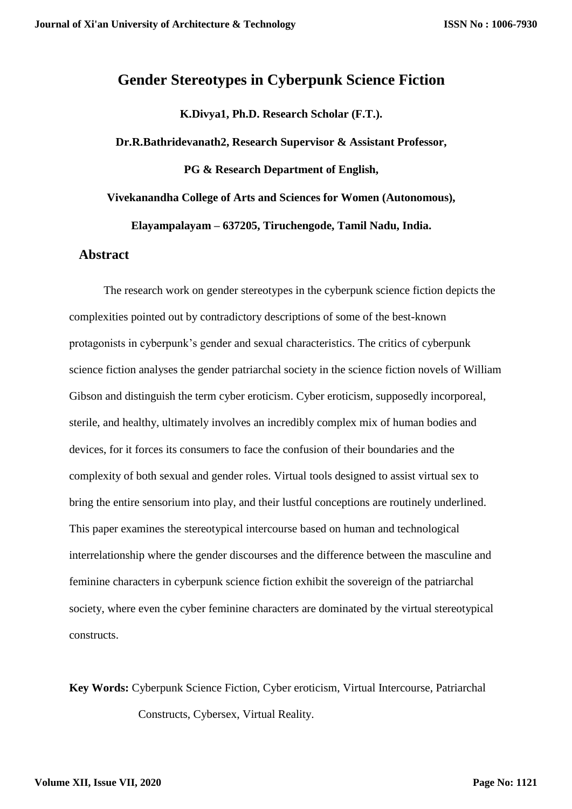## **Gender Stereotypes in Cyberpunk Science Fiction**

**K.Divya1, Ph.D. Research Scholar (F.T.).**

**Dr.R.Bathridevanath2, Research Supervisor & Assistant Professor, PG & Research Department of English,**

**Vivekanandha College of Arts and Sciences for Women (Autonomous),**

**Elayampalayam – 637205, Tiruchengode, Tamil Nadu, India.**

## **Abstract**

The research work on gender stereotypes in the cyberpunk science fiction depicts the complexities pointed out by contradictory descriptions of some of the best-known protagonists in cyberpunk's gender and sexual characteristics. The critics of cyberpunk science fiction analyses the gender patriarchal society in the science fiction novels of William Gibson and distinguish the term cyber eroticism. Cyber eroticism, supposedly incorporeal, sterile, and healthy, ultimately involves an incredibly complex mix of human bodies and devices, for it forces its consumers to face the confusion of their boundaries and the complexity of both sexual and gender roles. Virtual tools designed to assist virtual sex to bring the entire sensorium into play, and their lustful conceptions are routinely underlined. This paper examines the stereotypical intercourse based on human and technological interrelationship where the gender discourses and the difference between the masculine and feminine characters in cyberpunk science fiction exhibit the sovereign of the patriarchal society, where even the cyber feminine characters are dominated by the virtual stereotypical constructs.

**Key Words:** Cyberpunk Science Fiction, Cyber eroticism, Virtual Intercourse, Patriarchal Constructs, Cybersex, Virtual Reality.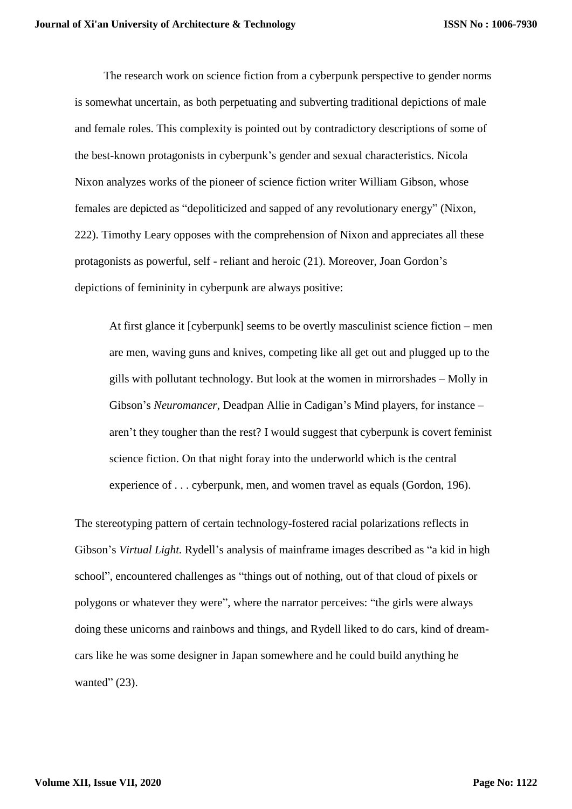The research work on science fiction from a cyberpunk perspective to gender norms is somewhat uncertain, as both perpetuating and subverting traditional depictions of male and female roles. This complexity is pointed out by contradictory descriptions of some of the best-known protagonists in cyberpunk's gender and sexual characteristics. Nicola Nixon analyzes works of the pioneer of science fiction writer William Gibson, whose females are depicted as "depoliticized and sapped of any revolutionary energy" (Nixon, 222). Timothy Leary opposes with the comprehension of Nixon and appreciates all these protagonists as powerful, self - reliant and heroic (21). Moreover, Joan Gordon's depictions of femininity in cyberpunk are always positive:

At first glance it [cyberpunk] seems to be overtly masculinist science fiction – men are men, waving guns and knives, competing like all get out and plugged up to the gills with pollutant technology. But look at the women in mirrorshades – Molly in Gibson's *Neuromancer*, Deadpan Allie in Cadigan's Mind players, for instance – aren't they tougher than the rest? I would suggest that cyberpunk is covert feminist science fiction. On that night foray into the underworld which is the central experience of . . . cyberpunk, men, and women travel as equals (Gordon, 196).

The stereotyping pattern of certain technology-fostered racial polarizations reflects in Gibson's *Virtual Light.* Rydell's analysis of mainframe images described as "a kid in high school", encountered challenges as "things out of nothing, out of that cloud of pixels or polygons or whatever they were", where the narrator perceives: "the girls were always doing these unicorns and rainbows and things, and Rydell liked to do cars, kind of dreamcars like he was some designer in Japan somewhere and he could build anything he wanted"  $(23)$ .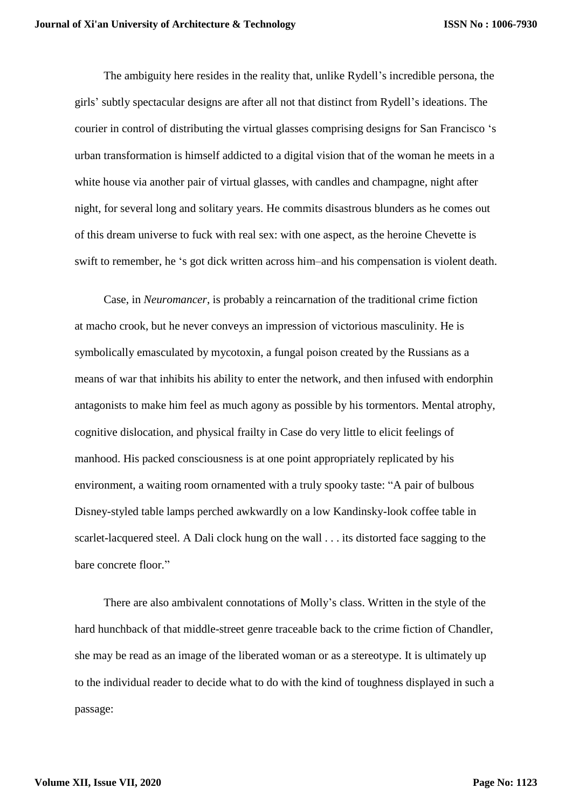The ambiguity here resides in the reality that, unlike Rydell's incredible persona, the girls' subtly spectacular designs are after all not that distinct from Rydell's ideations. The courier in control of distributing the virtual glasses comprising designs for San Francisco 's urban transformation is himself addicted to a digital vision that of the woman he meets in a white house via another pair of virtual glasses, with candles and champagne, night after night, for several long and solitary years. He commits disastrous blunders as he comes out of this dream universe to fuck with real sex: with one aspect, as the heroine Chevette is swift to remember, he 's got dick written across him–and his compensation is violent death.

Case, in *Neuromancer*, is probably a reincarnation of the traditional crime fiction at macho crook, but he never conveys an impression of victorious masculinity. He is symbolically emasculated by mycotoxin, a fungal poison created by the Russians as a means of war that inhibits his ability to enter the network, and then infused with endorphin antagonists to make him feel as much agony as possible by his tormentors. Mental atrophy, cognitive dislocation, and physical frailty in Case do very little to elicit feelings of manhood. His packed consciousness is at one point appropriately replicated by his environment, a waiting room ornamented with a truly spooky taste: "A pair of bulbous Disney-styled table lamps perched awkwardly on a low Kandinsky-look coffee table in scarlet-lacquered steel. A Dali clock hung on the wall . . . its distorted face sagging to the bare concrete floor."

There are also ambivalent connotations of Molly's class. Written in the style of the hard hunchback of that middle-street genre traceable back to the crime fiction of Chandler, she may be read as an image of the liberated woman or as a stereotype. It is ultimately up to the individual reader to decide what to do with the kind of toughness displayed in such a passage: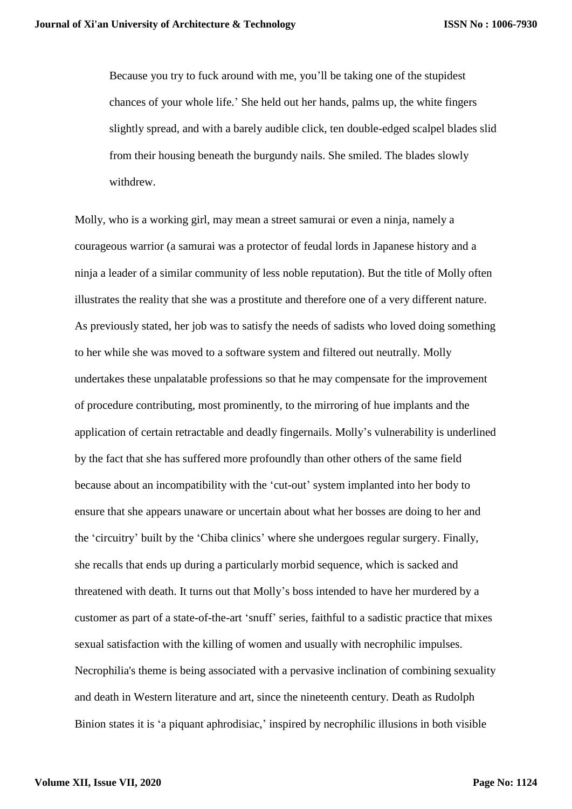Because you try to fuck around with me, you'll be taking one of the stupidest chances of your whole life.' She held out her hands, palms up, the white fingers slightly spread, and with a barely audible click, ten double-edged scalpel blades slid from their housing beneath the burgundy nails. She smiled. The blades slowly withdrew.

Molly, who is a working girl, may mean a street samurai or even a ninja, namely a courageous warrior (a samurai was a protector of feudal lords in Japanese history and a ninja a leader of a similar community of less noble reputation). But the title of Molly often illustrates the reality that she was a prostitute and therefore one of a very different nature. As previously stated, her job was to satisfy the needs of sadists who loved doing something to her while she was moved to a software system and filtered out neutrally. Molly undertakes these unpalatable professions so that he may compensate for the improvement of procedure contributing, most prominently, to the mirroring of hue implants and the application of certain retractable and deadly fingernails. Molly's vulnerability is underlined by the fact that she has suffered more profoundly than other others of the same field because about an incompatibility with the 'cut-out' system implanted into her body to ensure that she appears unaware or uncertain about what her bosses are doing to her and the 'circuitry' built by the 'Chiba clinics' where she undergoes regular surgery. Finally, she recalls that ends up during a particularly morbid sequence, which is sacked and threatened with death. It turns out that Molly's boss intended to have her murdered by a customer as part of a state-of-the-art 'snuff' series, faithful to a sadistic practice that mixes sexual satisfaction with the killing of women and usually with necrophilic impulses. Necrophilia's theme is being associated with a pervasive inclination of combining sexuality and death in Western literature and art, since the nineteenth century. Death as Rudolph Binion states it is 'a piquant aphrodisiac,' inspired by necrophilic illusions in both visible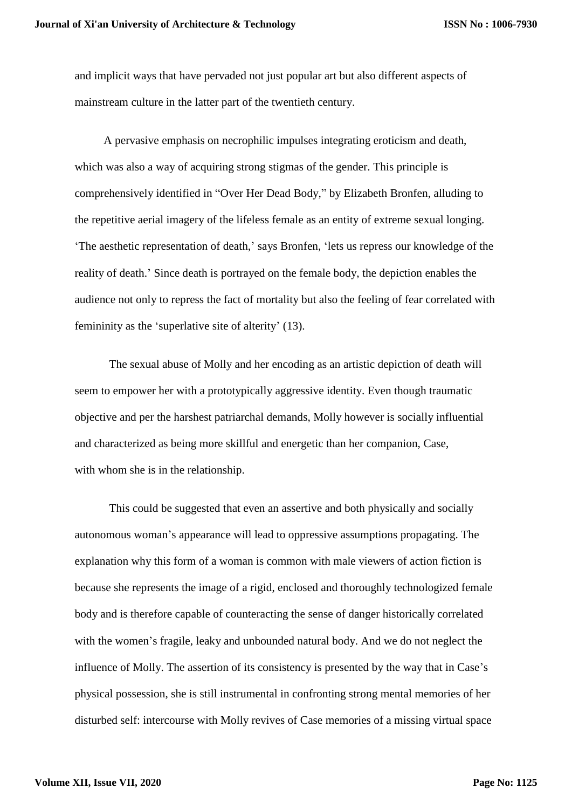and implicit ways that have pervaded not just popular art but also different aspects of mainstream culture in the latter part of the twentieth century.

A pervasive emphasis on necrophilic impulses integrating eroticism and death, which was also a way of acquiring strong stigmas of the gender. This principle is comprehensively identified in "Over Her Dead Body," by Elizabeth Bronfen, alluding to the repetitive aerial imagery of the lifeless female as an entity of extreme sexual longing. 'The aesthetic representation of death,' says Bronfen, 'lets us repress our knowledge of the reality of death.' Since death is portrayed on the female body, the depiction enables the audience not only to repress the fact of mortality but also the feeling of fear correlated with femininity as the 'superlative site of alterity' (13).

The sexual abuse of Molly and her encoding as an artistic depiction of death will seem to empower her with a prototypically aggressive identity. Even though traumatic objective and per the harshest patriarchal demands, Molly however is socially influential and characterized as being more skillful and energetic than her companion, Case, with whom she is in the relationship.

This could be suggested that even an assertive and both physically and socially autonomous woman's appearance will lead to oppressive assumptions propagating. The explanation why this form of a woman is common with male viewers of action fiction is because she represents the image of a rigid, enclosed and thoroughly technologized female body and is therefore capable of counteracting the sense of danger historically correlated with the women's fragile, leaky and unbounded natural body. And we do not neglect the influence of Molly. The assertion of its consistency is presented by the way that in Case's physical possession, she is still instrumental in confronting strong mental memories of her disturbed self: intercourse with Molly revives of Case memories of a missing virtual space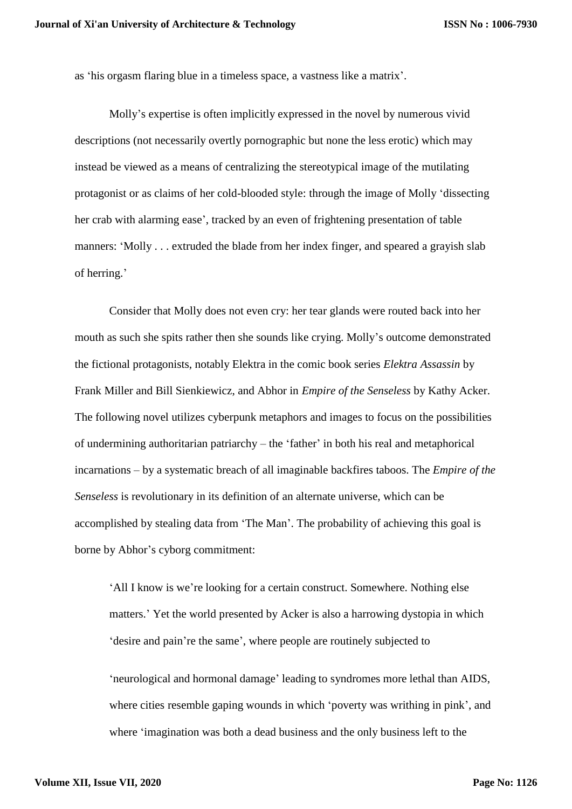as 'his orgasm flaring blue in a timeless space, a vastness like a matrix'.

Molly's expertise is often implicitly expressed in the novel by numerous vivid descriptions (not necessarily overtly pornographic but none the less erotic) which may instead be viewed as a means of centralizing the stereotypical image of the mutilating protagonist or as claims of her cold-blooded style: through the image of Molly 'dissecting her crab with alarming ease', tracked by an even of frightening presentation of table manners: 'Molly . . . extruded the blade from her index finger, and speared a grayish slab of herring.'

Consider that Molly does not even cry: her tear glands were routed back into her mouth as such she spits rather then she sounds like crying. Molly's outcome demonstrated the fictional protagonists, notably Elektra in the comic book series *Elektra Assassin* by Frank Miller and Bill Sienkiewicz, and Abhor in *Empire of the Senseless* by Kathy Acker. The following novel utilizes cyberpunk metaphors and images to focus on the possibilities of undermining authoritarian patriarchy – the 'father' in both his real and metaphorical incarnations – by a systematic breach of all imaginable backfires taboos. The *Empire of the Senseless* is revolutionary in its definition of an alternate universe, which can be accomplished by stealing data from 'The Man'. The probability of achieving this goal is borne by Abhor's cyborg commitment:

'All I know is we're looking for a certain construct. Somewhere. Nothing else matters.' Yet the world presented by Acker is also a harrowing dystopia in which 'desire and pain're the same', where people are routinely subjected to

'neurological and hormonal damage' leading to syndromes more lethal than AIDS, where cities resemble gaping wounds in which 'poverty was writhing in pink', and where 'imagination was both a dead business and the only business left to the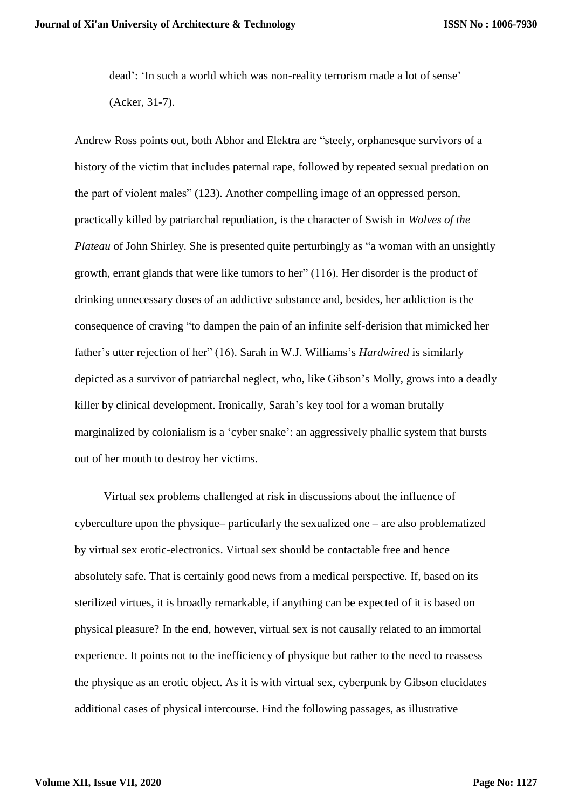dead': 'In such a world which was non-reality terrorism made a lot of sense' (Acker, 31-7).

Andrew Ross points out, both Abhor and Elektra are "steely, orphanesque survivors of a history of the victim that includes paternal rape, followed by repeated sexual predation on the part of violent males" (123). Another compelling image of an oppressed person, practically killed by patriarchal repudiation, is the character of Swish in *Wolves of the Plateau* of John Shirley. She is presented quite perturbingly as "a woman with an unsightly growth, errant glands that were like tumors to her" (116). Her disorder is the product of drinking unnecessary doses of an addictive substance and, besides, her addiction is the consequence of craving "to dampen the pain of an infinite self-derision that mimicked her father's utter rejection of her" (16). Sarah in W.J. Williams's *Hardwired* is similarly depicted as a survivor of patriarchal neglect, who, like Gibson's Molly, grows into a deadly killer by clinical development. Ironically, Sarah's key tool for a woman brutally marginalized by colonialism is a 'cyber snake': an aggressively phallic system that bursts out of her mouth to destroy her victims.

Virtual sex problems challenged at risk in discussions about the influence of cyberculture upon the physique– particularly the sexualized one – are also problematized by virtual sex erotic-electronics. Virtual sex should be contactable free and hence absolutely safe. That is certainly good news from a medical perspective. If, based on its sterilized virtues, it is broadly remarkable, if anything can be expected of it is based on physical pleasure? In the end, however, virtual sex is not causally related to an immortal experience. It points not to the inefficiency of physique but rather to the need to reassess the physique as an erotic object. As it is with virtual sex, cyberpunk by Gibson elucidates additional cases of physical intercourse. Find the following passages, as illustrative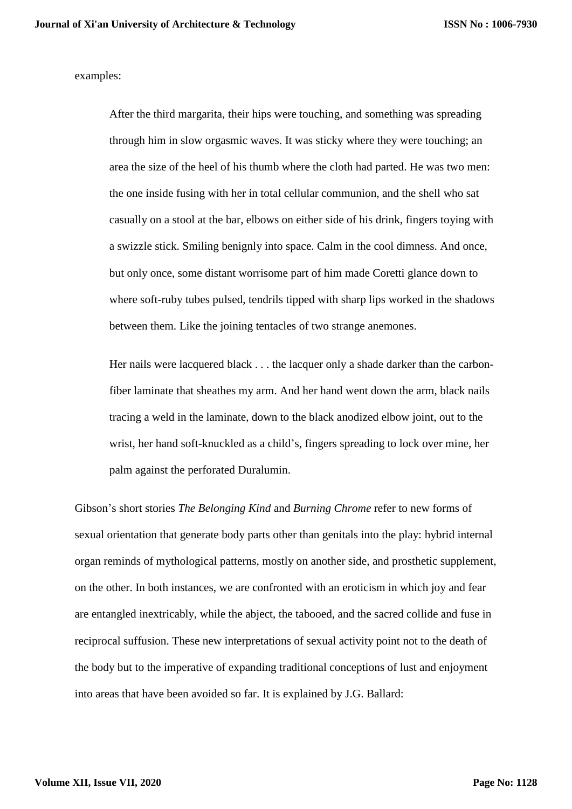examples:

After the third margarita, their hips were touching, and something was spreading through him in slow orgasmic waves. It was sticky where they were touching; an area the size of the heel of his thumb where the cloth had parted. He was two men: the one inside fusing with her in total cellular communion, and the shell who sat casually on a stool at the bar, elbows on either side of his drink, fingers toying with a swizzle stick. Smiling benignly into space. Calm in the cool dimness. And once, but only once, some distant worrisome part of him made Coretti glance down to where soft-ruby tubes pulsed, tendrils tipped with sharp lips worked in the shadows between them. Like the joining tentacles of two strange anemones.

Her nails were lacquered black . . . the lacquer only a shade darker than the carbonfiber laminate that sheathes my arm. And her hand went down the arm, black nails tracing a weld in the laminate, down to the black anodized elbow joint, out to the wrist, her hand soft-knuckled as a child's, fingers spreading to lock over mine, her palm against the perforated Duralumin.

Gibson's short stories *The Belonging Kind* and *Burning Chrome* refer to new forms of sexual orientation that generate body parts other than genitals into the play: hybrid internal organ reminds of mythological patterns, mostly on another side, and prosthetic supplement, on the other. In both instances, we are confronted with an eroticism in which joy and fear are entangled inextricably, while the abject, the tabooed, and the sacred collide and fuse in reciprocal suffusion. These new interpretations of sexual activity point not to the death of the body but to the imperative of expanding traditional conceptions of lust and enjoyment into areas that have been avoided so far. It is explained by J.G. Ballard: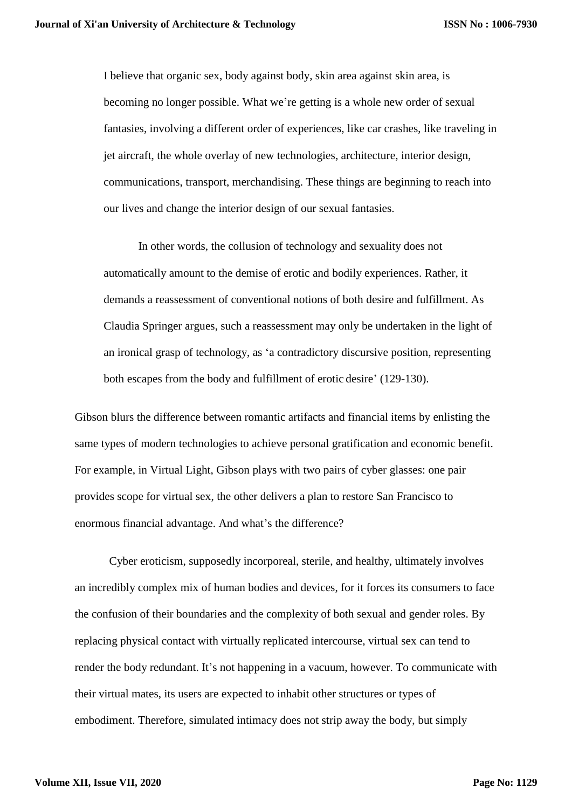I believe that organic sex, body against body, skin area against skin area, is becoming no longer possible. What we're getting is a whole new order of sexual fantasies, involving a different order of experiences, like car crashes, like traveling in jet aircraft, the whole overlay of new technologies, architecture, interior design, communications, transport, merchandising. These things are beginning to reach into our lives and change the interior design of our sexual fantasies.

In other words, the collusion of technology and sexuality does not automatically amount to the demise of erotic and bodily experiences. Rather, it demands a reassessment of conventional notions of both desire and fulfillment. As Claudia Springer argues, such a reassessment may only be undertaken in the light of an ironical grasp of technology, as 'a contradictory discursive position, representing both escapes from the body and fulfillment of erotic desire' (129-130).

Gibson blurs the difference between romantic artifacts and financial items by enlisting the same types of modern technologies to achieve personal gratification and economic benefit. For example, in Virtual Light, Gibson plays with two pairs of cyber glasses: one pair provides scope for virtual sex, the other delivers a plan to restore San Francisco to enormous financial advantage. And what's the difference?

Cyber eroticism, supposedly incorporeal, sterile, and healthy, ultimately involves an incredibly complex mix of human bodies and devices, for it forces its consumers to face the confusion of their boundaries and the complexity of both sexual and gender roles. By replacing physical contact with virtually replicated intercourse, virtual sex can tend to render the body redundant. It's not happening in a vacuum, however. To communicate with their virtual mates, its users are expected to inhabit other structures or types of embodiment. Therefore, simulated intimacy does not strip away the body, but simply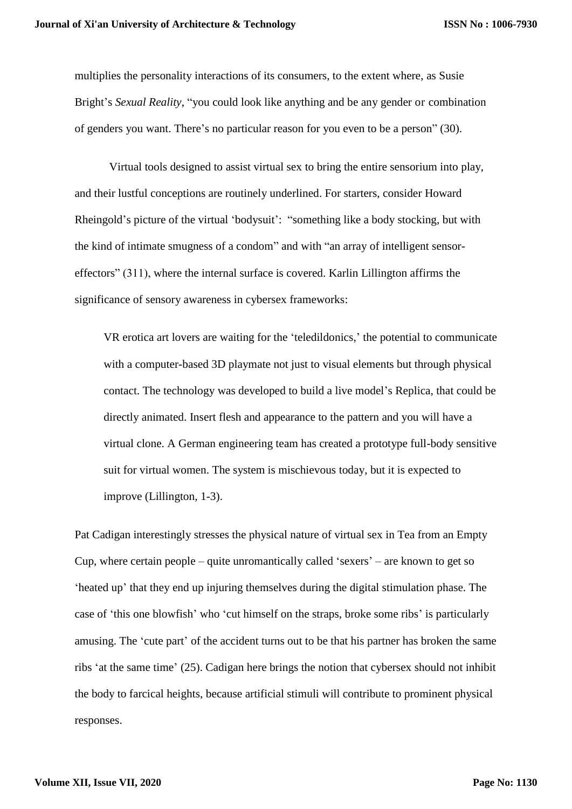multiplies the personality interactions of its consumers, to the extent where, as Susie Bright's *Sexual Reality*, "you could look like anything and be any gender or combination of genders you want. There's no particular reason for you even to be a person" (30).

Virtual tools designed to assist virtual sex to bring the entire sensorium into play, and their lustful conceptions are routinely underlined. For starters, consider Howard Rheingold's picture of the virtual 'bodysuit': "something like a body stocking, but with the kind of intimate smugness of a condom" and with "an array of intelligent sensoreffectors" (311), where the internal surface is covered. Karlin Lillington affirms the significance of sensory awareness in cybersex frameworks:

VR erotica art lovers are waiting for the 'teledildonics,' the potential to communicate with a computer-based 3D playmate not just to visual elements but through physical contact. The technology was developed to build a live model's Replica, that could be directly animated. Insert flesh and appearance to the pattern and you will have a virtual clone. A German engineering team has created a prototype full-body sensitive suit for virtual women. The system is mischievous today, but it is expected to improve (Lillington, 1-3).

Pat Cadigan interestingly stresses the physical nature of virtual sex in Tea from an Empty Cup, where certain people – quite unromantically called 'sexers' – are known to get so 'heated up' that they end up injuring themselves during the digital stimulation phase. The case of 'this one blowfish' who 'cut himself on the straps, broke some ribs' is particularly amusing. The 'cute part' of the accident turns out to be that his partner has broken the same ribs 'at the same time' (25). Cadigan here brings the notion that cybersex should not inhibit the body to farcical heights, because artificial stimuli will contribute to prominent physical responses.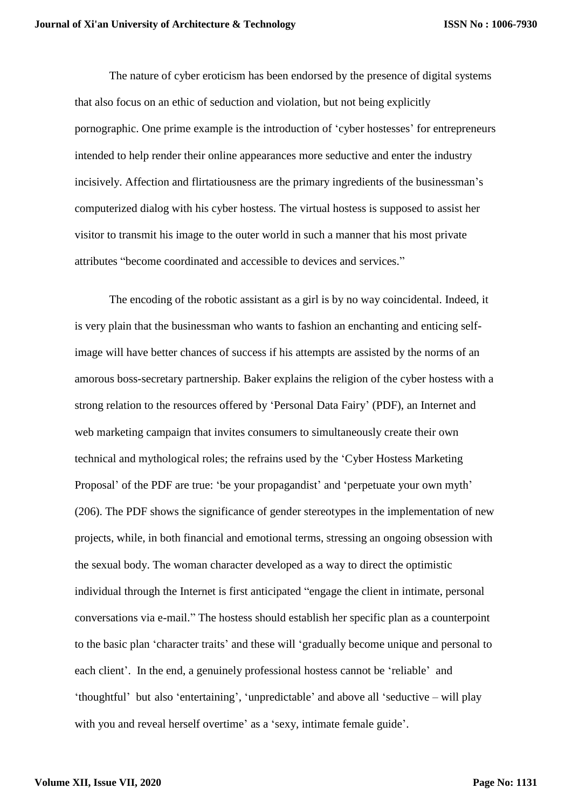The nature of cyber eroticism has been endorsed by the presence of digital systems that also focus on an ethic of seduction and violation, but not being explicitly pornographic. One prime example is the introduction of 'cyber hostesses' for entrepreneurs intended to help render their online appearances more seductive and enter the industry incisively. Affection and flirtatiousness are the primary ingredients of the businessman's computerized dialog with his cyber hostess. The virtual hostess is supposed to assist her visitor to transmit his image to the outer world in such a manner that his most private attributes "become coordinated and accessible to devices and services."

The encoding of the robotic assistant as a girl is by no way coincidental. Indeed, it is very plain that the businessman who wants to fashion an enchanting and enticing selfimage will have better chances of success if his attempts are assisted by the norms of an amorous boss-secretary partnership. Baker explains the religion of the cyber hostess with a strong relation to the resources offered by 'Personal Data Fairy' (PDF), an Internet and web marketing campaign that invites consumers to simultaneously create their own technical and mythological roles; the refrains used by the 'Cyber Hostess Marketing Proposal' of the PDF are true: 'be your propagandist' and 'perpetuate your own myth' (206). The PDF shows the significance of gender stereotypes in the implementation of new projects, while, in both financial and emotional terms, stressing an ongoing obsession with the sexual body. The woman character developed as a way to direct the optimistic individual through the Internet is first anticipated "engage the client in intimate, personal conversations via e-mail." The hostess should establish her specific plan as a counterpoint to the basic plan 'character traits' and these will 'gradually become unique and personal to each client'. In the end, a genuinely professional hostess cannot be 'reliable' and 'thoughtful' but also 'entertaining', 'unpredictable' and above all 'seductive – will play with you and reveal herself overtime' as a 'sexy, intimate female guide'.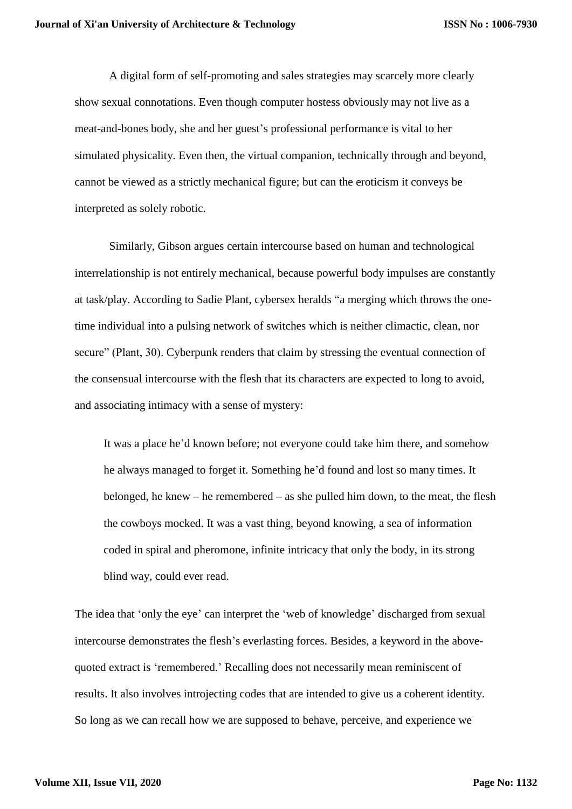A digital form of self-promoting and sales strategies may scarcely more clearly show sexual connotations. Even though computer hostess obviously may not live as a meat-and-bones body, she and her guest's professional performance is vital to her simulated physicality. Even then, the virtual companion, technically through and beyond, cannot be viewed as a strictly mechanical figure; but can the eroticism it conveys be interpreted as solely robotic.

Similarly, Gibson argues certain intercourse based on human and technological interrelationship is not entirely mechanical, because powerful body impulses are constantly at task/play. According to Sadie Plant, cybersex heralds "a merging which throws the onetime individual into a pulsing network of switches which is neither climactic, clean, nor secure" (Plant, 30). Cyberpunk renders that claim by stressing the eventual connection of the consensual intercourse with the flesh that its characters are expected to long to avoid, and associating intimacy with a sense of mystery:

It was a place he'd known before; not everyone could take him there, and somehow he always managed to forget it. Something he'd found and lost so many times. It belonged, he knew – he remembered – as she pulled him down, to the meat, the flesh the cowboys mocked. It was a vast thing, beyond knowing, a sea of information coded in spiral and pheromone, infinite intricacy that only the body, in its strong blind way, could ever read.

The idea that 'only the eye' can interpret the 'web of knowledge' discharged from sexual intercourse demonstrates the flesh's everlasting forces. Besides, a keyword in the abovequoted extract is 'remembered.' Recalling does not necessarily mean reminiscent of results. It also involves introjecting codes that are intended to give us a coherent identity. So long as we can recall how we are supposed to behave, perceive, and experience we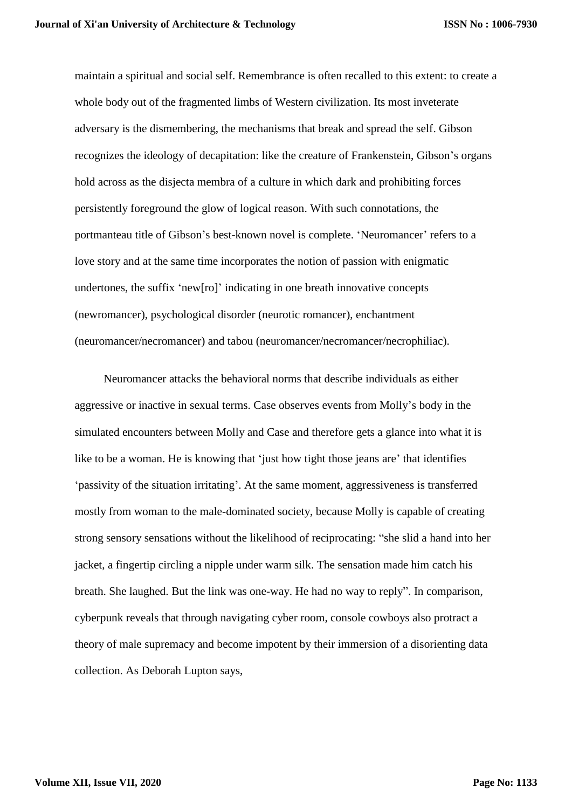maintain a spiritual and social self. Remembrance is often recalled to this extent: to create a whole body out of the fragmented limbs of Western civilization. Its most inveterate adversary is the dismembering, the mechanisms that break and spread the self. Gibson recognizes the ideology of decapitation: like the creature of Frankenstein, Gibson's organs hold across as the disjecta membra of a culture in which dark and prohibiting forces persistently foreground the glow of logical reason. With such connotations, the portmanteau title of Gibson's best-known novel is complete. 'Neuromancer' refers to a love story and at the same time incorporates the notion of passion with enigmatic undertones, the suffix 'new[ro]' indicating in one breath innovative concepts (newromancer), psychological disorder (neurotic romancer), enchantment (neuromancer/necromancer) and tabou (neuromancer/necromancer/necrophiliac).

Neuromancer attacks the behavioral norms that describe individuals as either aggressive or inactive in sexual terms. Case observes events from Molly's body in the simulated encounters between Molly and Case and therefore gets a glance into what it is like to be a woman. He is knowing that 'just how tight those jeans are' that identifies 'passivity of the situation irritating'. At the same moment, aggressiveness is transferred mostly from woman to the male-dominated society, because Molly is capable of creating strong sensory sensations without the likelihood of reciprocating: "she slid a hand into her jacket, a fingertip circling a nipple under warm silk. The sensation made him catch his breath. She laughed. But the link was one-way. He had no way to reply". In comparison, cyberpunk reveals that through navigating cyber room, console cowboys also protract a theory of male supremacy and become impotent by their immersion of a disorienting data collection. As Deborah Lupton says,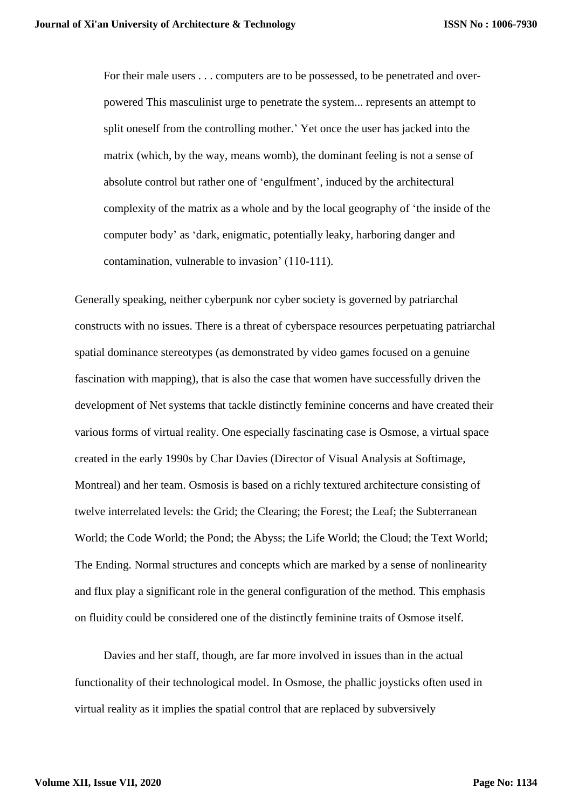For their male users . . . computers are to be possessed, to be penetrated and overpowered This masculinist urge to penetrate the system... represents an attempt to split oneself from the controlling mother.' Yet once the user has jacked into the matrix (which, by the way, means womb), the dominant feeling is not a sense of absolute control but rather one of 'engulfment', induced by the architectural complexity of the matrix as a whole and by the local geography of 'the inside of the computer body' as 'dark, enigmatic, potentially leaky, harboring danger and contamination, vulnerable to invasion' (110-111).

Generally speaking, neither cyberpunk nor cyber society is governed by patriarchal constructs with no issues. There is a threat of cyberspace resources perpetuating patriarchal spatial dominance stereotypes (as demonstrated by video games focused on a genuine fascination with mapping), that is also the case that women have successfully driven the development of Net systems that tackle distinctly feminine concerns and have created their various forms of virtual reality. One especially fascinating case is Osmose, a virtual space created in the early 1990s by Char Davies (Director of Visual Analysis at Softimage, Montreal) and her team. Osmosis is based on a richly textured architecture consisting of twelve interrelated levels: the Grid; the Clearing; the Forest; the Leaf; the Subterranean World; the Code World; the Pond; the Abyss; the Life World; the Cloud; the Text World; The Ending. Normal structures and concepts which are marked by a sense of nonlinearity and flux play a significant role in the general configuration of the method. This emphasis on fluidity could be considered one of the distinctly feminine traits of Osmose itself.

Davies and her staff, though, are far more involved in issues than in the actual functionality of their technological model. In Osmose, the phallic joysticks often used in virtual reality as it implies the spatial control that are replaced by subversively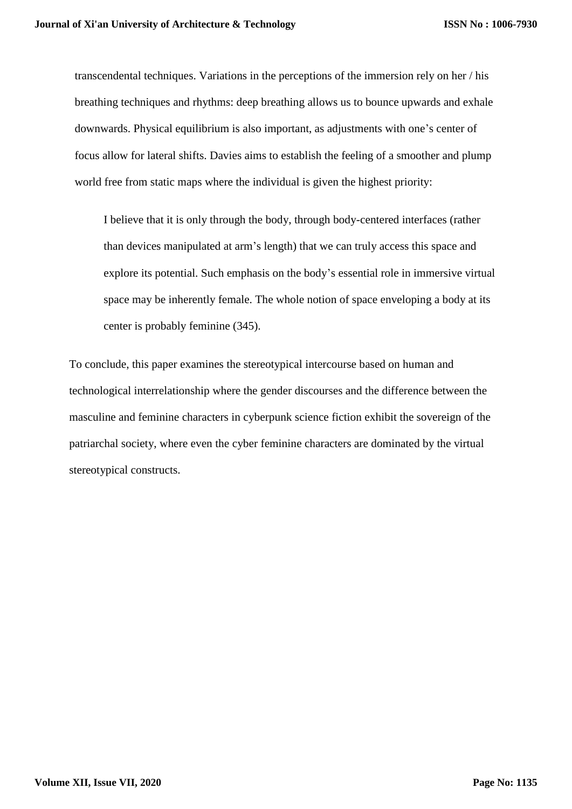transcendental techniques. Variations in the perceptions of the immersion rely on her / his breathing techniques and rhythms: deep breathing allows us to bounce upwards and exhale downwards. Physical equilibrium is also important, as adjustments with one's center of focus allow for lateral shifts. Davies aims to establish the feeling of a smoother and plump world free from static maps where the individual is given the highest priority:

I believe that it is only through the body, through body-centered interfaces (rather than devices manipulated at arm's length) that we can truly access this space and explore its potential. Such emphasis on the body's essential role in immersive virtual space may be inherently female. The whole notion of space enveloping a body at its center is probably feminine (345).

To conclude, this paper examines the stereotypical intercourse based on human and technological interrelationship where the gender discourses and the difference between the masculine and feminine characters in cyberpunk science fiction exhibit the sovereign of the patriarchal society, where even the cyber feminine characters are dominated by the virtual stereotypical constructs.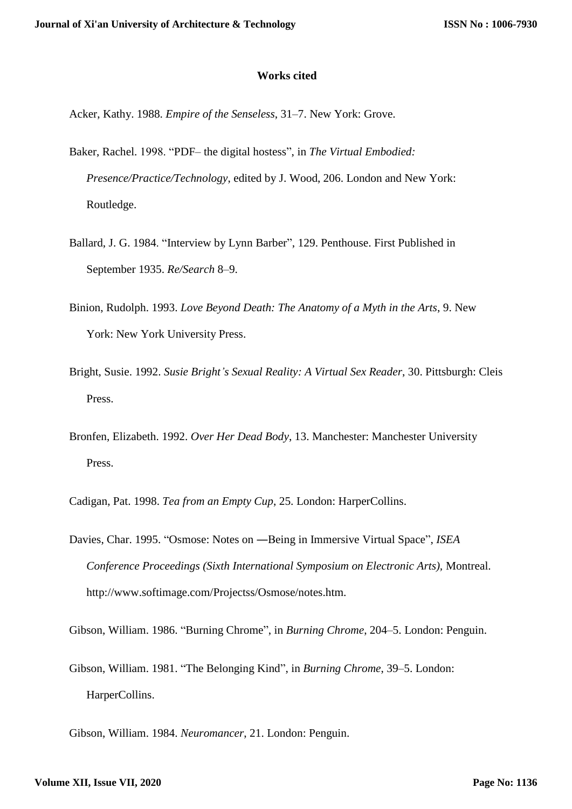## **Works cited**

Acker, Kathy. 1988. *Empire of the Senseless*, 31–7. New York: Grove.

- Baker, Rachel. 1998. "PDF– the digital hostess", in *The Virtual Embodied: Presence/Practice/Technology*, edited by J. Wood, 206. London and New York: Routledge.
- Ballard, J. G. 1984. "Interview by Lynn Barber", 129. Penthouse. First Published in September 1935. *Re/Search* 8–9.
- Binion, Rudolph. 1993. *Love Beyond Death: The Anatomy of a Myth in the Arts*, 9. New York: New York University Press.
- Bright, Susie. 1992. *Susie Bright's Sexual Reality: A Virtual Sex Reader*, 30. Pittsburgh: Cleis Press.
- Bronfen, Elizabeth. 1992. *Over Her Dead Body*, 13. Manchester: Manchester University Press.
- Cadigan, Pat. 1998. *Tea from an Empty Cup*, 25. London: HarperCollins.
- Davies, Char. 1995. "Osmose: Notes on ―Being in Immersive Virtual Space", *ISEA Conference Proceedings (Sixth International Symposium on Electronic Arts),* Montreal. [http://www.softimage.com/P](http://www.softimage.com/)rojectss/Osmose/notes.htm.

Gibson, William. 1986. "Burning Chrome", in *Burning Chrome*, 204–5. London: Penguin.

Gibson, William. 1981. "The Belonging Kind", in *Burning Chrome*, 39–5. London: HarperCollins.

Gibson, William. 1984. *Neuromancer*, 21. London: Penguin.